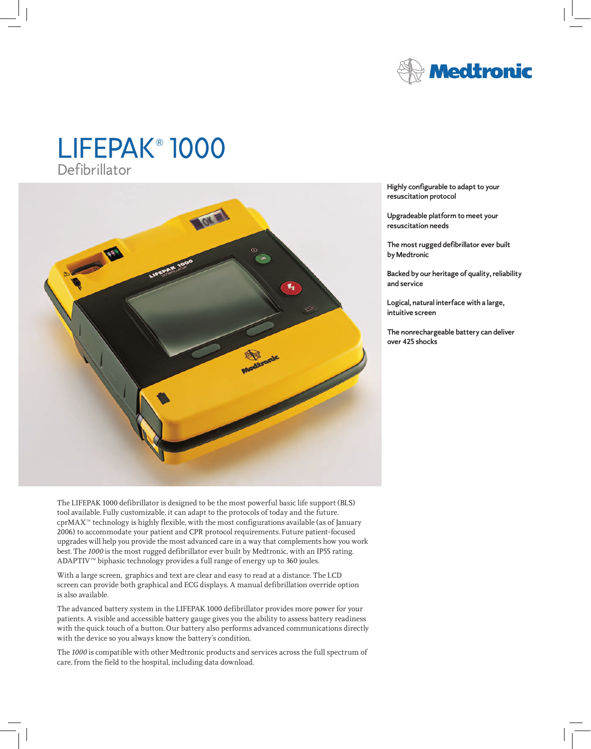

# LIFEPAK® 1000 Defibrillator



The LIFEPAK 1000 defibrillator is designed to be the most powerful basic life support (BLS) tool available. Fully customizable, it can adapt to the protocols of today and the future. cprMAX™ technology is highly flexible, with the most configurations available (as of January 2006) to accommodate your patient and CPR protocol requirements. Future patient-focused upgrades will help you provide the most advanced care in a way that complements how you work best. The *1000* is the most rugged defibrillator ever built by Medtronic, with an IP55 rating. ADAPTIV<sup>™</sup> biphasic technology provides a full range of energy up to 360 joules.

With a large screen, graphics and text are clear and easy to read at a distance. The LCD screen can provide both graphical and ECG displays. A manual defibrillation override option is also available.

The advanced battery system in the LIFEPAK 1000 defibrillator provides more power for your patients. A visible and accessible battery gauge gives you the ability to assess battery readiness with the quick touch of a button. Our battery also performs advanced communications directly with the device so you always know the battery's condition.

The *1000* is compatible with other Medtronic products and services across the full spectrum of care, from the field to the hospital, including data download.

**Highly configurable to adapt to your resuscitation protocol**

**Upgradeable platform to meet your resuscitation needs**

**The most rugged defibrillator ever built by Medtronic** 

**Backed by our heritage of quality, reliability and service** 

**Logical, natural interface with a large, intuitive screen**

**The nonrechargeable battery can deliver over 425 shocks**